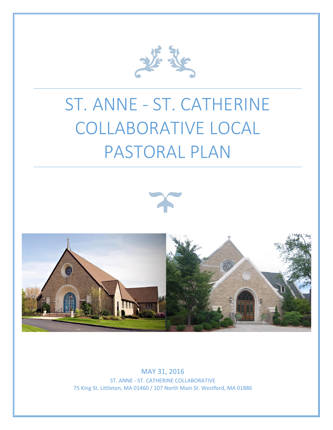

# ST. ANNE - ST. CATHERINE COLLABORATIVE LOCAL PASTORAL PLAN





MAY 31, 2016

ST. ANNE - ST. CATHERINE COLLABORATIVE 75 King St. Littleton, MA 01460 / 107 North Main St. Westford, MA 01886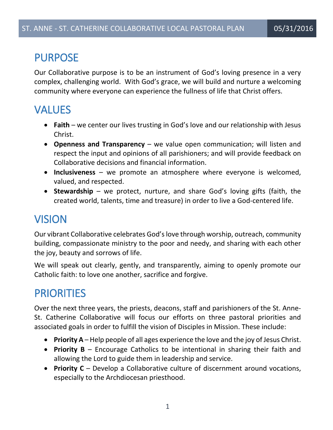### PURPOSE

Our Collaborative purpose is to be an instrument of God's loving presence in a very complex, challenging world. With God's grace, we will build and nurture a welcoming community where everyone can experience the fullness of life that Christ offers.

# VALUES

- **Faith** we center our lives trusting in God's love and our relationship with Jesus Christ.
- **Openness and Transparency** we value open communication; will listen and respect the input and opinions of all parishioners; and will provide feedback on Collaborative decisions and financial information.
- **Inclusiveness** we promote an atmosphere where everyone is welcomed, valued, and respected.
- **Stewardship** we protect, nurture, and share God's loving gifts (faith, the created world, talents, time and treasure) in order to live a God-centered life.

# VISION

Our vibrant Collaborative celebrates God's love through worship, outreach, community building, compassionate ministry to the poor and needy, and sharing with each other the joy, beauty and sorrows of life.

We will speak out clearly, gently, and transparently, aiming to openly promote our Catholic faith: to love one another, sacrifice and forgive.

# PRIORITIES

Over the next three years, the priests, deacons, staff and parishioners of the St. Anne-St. Catherine Collaborative will focus our efforts on three pastoral priorities and associated goals in order to fulfill the vision of Disciples in Mission. These include:

- **Priority A** Help people of all ages experience the love and the joy of Jesus Christ.
- **Priority B** Encourage Catholics to be intentional in sharing their faith and allowing the Lord to guide them in leadership and service.
- **Priority C** Develop a Collaborative culture of discernment around vocations, especially to the Archdiocesan priesthood.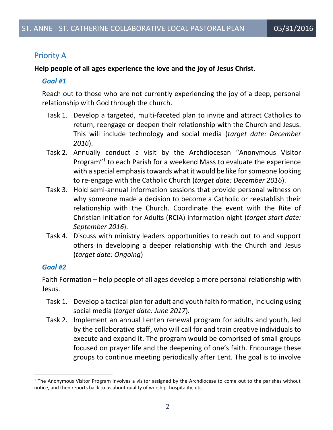### Priority A

#### **Help people of all ages experience the love and the joy of Jesus Christ.**

#### *Goal #1*

Reach out to those who are not currently experiencing the joy of a deep, personal relationship with God through the church.

- Task 1. Develop a targeted, multi-faceted plan to invite and attract Catholics to return, reengage or deepen their relationship with the Church and Jesus. This will include technology and social media (*target date: December 2016*).
- Task 2. Annually conduct a visit by the Archdiocesan "Anonymous Visitor Program"<sup>1</sup> to each Parish for a weekend Mass to evaluate the experience with a special emphasis towards what it would be like for someone looking to re-engage with the Catholic Church (*target date: December 2016*).
- Task 3. Hold semi-annual information sessions that provide personal witness on why someone made a decision to become a Catholic or reestablish their relationship with the Church. Coordinate the event with the Rite of Christian Initiation for Adults (RCIA) information night (*target start date: September 2016*).
- Task 4. Discuss with ministry leaders opportunities to reach out to and support others in developing a deeper relationship with the Church and Jesus (*target date: Ongoing*)

#### *Goal #2*

 $\overline{a}$ 

Faith Formation – help people of all ages develop a more personal relationship with Jesus.

- Task 1. Develop a tactical plan for adult and youth faith formation, including using social media (*target date: June 2017*).
- Task 2. Implement an annual Lenten renewal program for adults and youth, led by the collaborative staff, who will call for and train creative individuals to execute and expand it. The program would be comprised of small groups focused on prayer life and the deepening of one's faith. Encourage these groups to continue meeting periodically after Lent. The goal is to involve

 $1$  The Anonymous Visitor Program involves a visitor assigned by the Archdiocese to come out to the parishes without notice, and then reports back to us about quality of worship, hospitality, etc.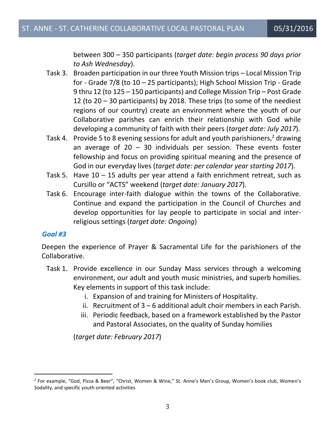between 300 – 350 participants (*target date: begin process 90 days prior to Ash Wednesday*).

- Task 3. Broaden participation in our three Youth Mission trips Local Mission Trip for - Grade 7/8 (to 10 – 25 participants); High School Mission Trip - Grade 9 thru 12 (to 125 – 150 participants) and College Mission Trip – Post Grade 12 (to 20 – 30 participants) by 2018. These trips (to some of the neediest regions of our country) create an environment where the youth of our Collaborative parishes can enrich their relationship with God while developing a community of faith with their peers (*target date: July 2017*).
- Task 4. Provide 5 to 8 evening sessions for adult and youth parishioners,<sup>2</sup> drawing an average of  $20 - 30$  individuals per session. These events foster fellowship and focus on providing spiritual meaning and the presence of God in our everyday lives (*target date: per calendar year starting 2017*).
- Task 5. Have  $10 15$  adults per year attend a faith enrichment retreat, such as Cursillo or "ACTS" weekend (*target date: January 2017*).
- Task 6. Encourage inter-faith dialogue within the towns of the Collaborative. Continue and expand the participation in the Council of Churches and develop opportunities for lay people to participate in social and interreligious settings (*target date: Ongoing*)

#### *Goal #3*

 $\overline{a}$ 

Deepen the experience of Prayer & Sacramental Life for the parishioners of the Collaborative.

- Task 1. Provide excellence in our Sunday Mass services through a welcoming environment, our adult and youth music ministries, and superb homilies. Key elements in support of this task include:
	- i. Expansion of and training for Ministers of Hospitality.
	- ii. Recruitment of 3 6 additional adult choir members in each Parish.
	- iii. Periodic feedback, based on a framework established by the Pastor and Pastoral Associates, on the quality of Sunday homilies

(*target date: February 2017*)

<sup>2</sup> For example, "God, Pizza & Beer", "Christ, Women & Wine," St. Anne's Men's Group, Women's book club, Women's Sodality, and specific youth oriented activities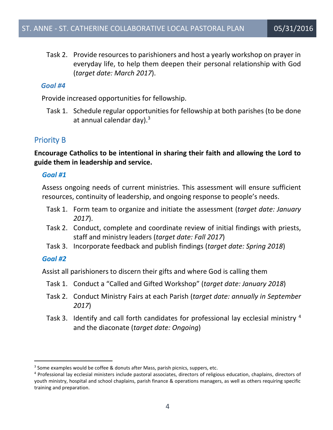Task 2. Provide resources to parishioners and host a yearly workshop on prayer in everyday life, to help them deepen their personal relationship with God (*target date: March 2017*).

#### *Goal #4*

Provide increased opportunities for fellowship.

Task 1. Schedule regular opportunities for fellowship at both parishes (to be done at annual calendar day). $3$ 

### Priority B

**Encourage Catholics to be intentional in sharing their faith and allowing the Lord to guide them in leadership and service.**

#### *Goal #1*

Assess ongoing needs of current ministries. This assessment will ensure sufficient resources, continuity of leadership, and ongoing response to people's needs.

- Task 1. Form team to organize and initiate the assessment (*target date: January 2017*).
- Task 2. Conduct, complete and coordinate review of initial findings with priests, staff and ministry leaders (*target date: Fall 2017*)
- Task 3. Incorporate feedback and publish findings (*target date: Spring 2018*)

#### *Goal #2*

 $\overline{a}$ 

Assist all parishioners to discern their gifts and where God is calling them

- Task 1. Conduct a "Called and Gifted Workshop" (*target date: January 2018*)
- Task 2. Conduct Ministry Fairs at each Parish (*target date: annually in September 2017*)
- Task 3. Identify and call forth candidates for professional lay ecclesial ministry <sup>4</sup> and the diaconate (*target date: Ongoing*)

 $3$  Some examples would be coffee & donuts after Mass, parish picnics, suppers, etc.

<sup>4</sup> Professional lay ecclesial ministers include pastoral associates, directors of religious education, chaplains, directors of youth ministry, hospital and school chaplains, parish finance & operations managers, as well as others requiring specific training and preparation.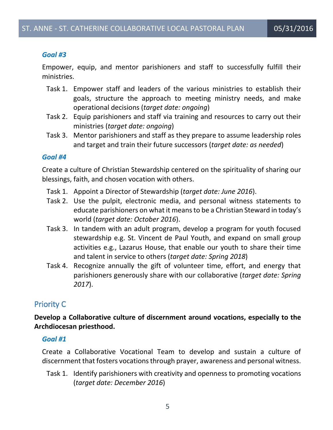#### *Goal #3*

Empower, equip, and mentor parishioners and staff to successfully fulfill their ministries.

- Task 1. Empower staff and leaders of the various ministries to establish their goals, structure the approach to meeting ministry needs, and make operational decisions (*target date: ongoing*)
- Task 2. Equip parishioners and staff via training and resources to carry out their ministries (*target date: ongoing*)
- Task 3. Mentor parishioners and staff as they prepare to assume leadership roles and target and train their future successors (*target date: as needed*)

#### *Goal #4*

Create a culture of Christian Stewardship centered on the spirituality of sharing our blessings, faith, and chosen vocation with others.

- Task 1. Appoint a Director of Stewardship (*target date: June 2016*).
- Task 2. Use the pulpit, electronic media, and personal witness statements to educate parishioners on what it means to be a Christian Steward in today's world (*target date: October 2016*).
- Task 3. In tandem with an adult program, develop a program for youth focused stewardship e.g. St. Vincent de Paul Youth, and expand on small group activities e.g., Lazarus House, that enable our youth to share their time and talent in service to others (*target date: Spring 2018*)
- Task 4. Recognize annually the gift of volunteer time, effort, and energy that parishioners generously share with our collaborative (*target date: Spring 2017*).

### Priority C

**Develop a Collaborative culture of discernment around vocations, especially to the Archdiocesan priesthood.**

#### *Goal #1*

Create a Collaborative Vocational Team to develop and sustain a culture of discernment that fosters vocations through prayer, awareness and personal witness.

Task 1. Identify parishioners with creativity and openness to promoting vocations (*target date: December 2016*)